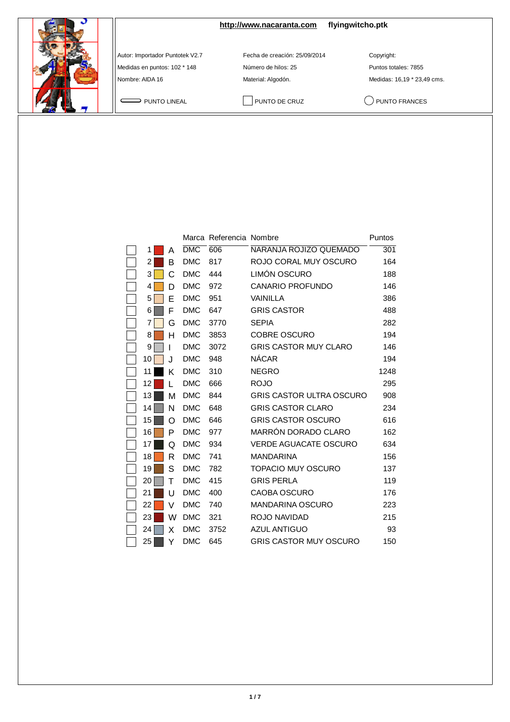**<http://www.nacaranta.com>flyingwitcho.ptk**

Autor: Importador Puntotek V2.7 Fecha de creación: 25/09/2014 Copyright:

Medidas en puntos: 102 \* 148 <br>
Número de hilos: 25 <br>
Puntos totales: 7855

Nombre: AIDA 16 Material: Algodón. Material: Algodón. Medidas: 16,19 \* 23,49 cms.

PUNTO LINEAL PUNTO DE CRUZ QUINTO FRANCES

|    |   |            | Marca Referencia Nombre |                                 | Puntos |
|----|---|------------|-------------------------|---------------------------------|--------|
| 1  | Α | <b>DMC</b> | 606                     | NARANJA ROJIZO QUEMADO          | 301    |
| 2  | в | <b>DMC</b> | 817                     | ROJO CORAL MUY OSCURO           | 164    |
| 3  | С | <b>DMC</b> | 444                     | LIMÓN OSCURO                    | 188    |
| 4  | D | <b>DMC</b> | 972                     | <b>CANARIO PROFUNDO</b>         | 146    |
| 5  | E | <b>DMC</b> | 951                     | VAINILLA                        | 386    |
| 6  | F | <b>DMC</b> | 647                     | <b>GRIS CASTOR</b>              | 488    |
| 7  | G | <b>DMC</b> | 3770                    | <b>SEPIA</b>                    | 282    |
| 8  | н | <b>DMC</b> | 3853                    | <b>COBRE OSCURO</b>             | 194    |
| 9  |   | <b>DMC</b> | 3072                    | <b>GRIS CASTOR MUY CLARO</b>    | 146    |
| 10 | J | <b>DMC</b> | 948                     | <b>NÁCAR</b>                    | 194    |
| 11 | Κ | <b>DMC</b> | 310                     | <b>NEGRO</b>                    | 1248   |
| 12 |   | <b>DMC</b> | 666                     | <b>ROJO</b>                     | 295    |
| 13 | м | <b>DMC</b> | 844                     | <b>GRIS CASTOR ULTRA OSCURO</b> | 908    |
| 14 | N | <b>DMC</b> | 648                     | <b>GRIS CASTOR CLARO</b>        | 234    |
| 15 | Ω | <b>DMC</b> | 646                     | <b>GRIS CASTOR OSCURO</b>       | 616    |
| 16 | P | <b>DMC</b> | 977                     | MARRÓN DORADO CLARO             | 162    |
| 17 | Q | <b>DMC</b> | 934                     | <b>VERDE AGUACATE OSCURO</b>    | 634    |
| 18 | R | <b>DMC</b> | 741                     | <b>MANDARINA</b>                | 156    |
| 19 | S | <b>DMC</b> | 782                     | <b>TOPACIO MUY OSCURO</b>       | 137    |
| 20 | т | <b>DMC</b> | 415                     | <b>GRIS PERLA</b>               | 119    |
| 21 | U | <b>DMC</b> | 400                     | CAOBA OSCURO                    | 176    |
| 22 | v | <b>DMC</b> | 740                     | <b>MANDARINA OSCURO</b>         | 223    |
| 23 | W | <b>DMC</b> | 321                     | ROJO NAVIDAD                    | 215    |
| 24 | X | <b>DMC</b> | 3752                    | <b>AZUL ANTIGUO</b>             | 93     |
| 25 | Y | <b>DMC</b> | 645                     | <b>GRIS CASTOR MUY OSCURO</b>   | 150    |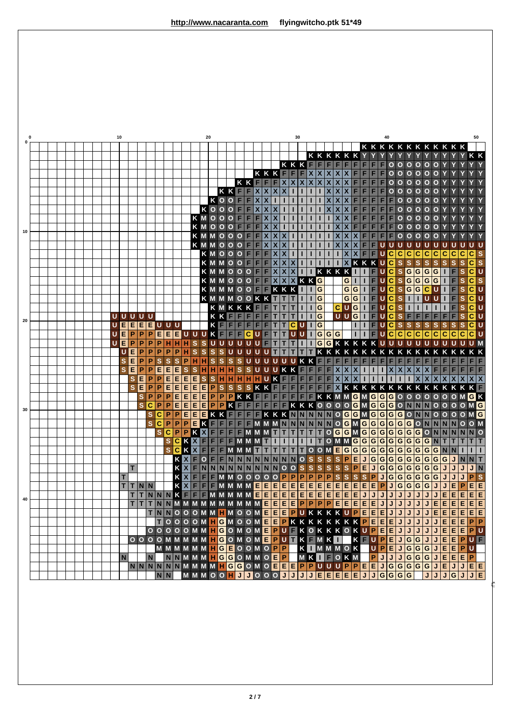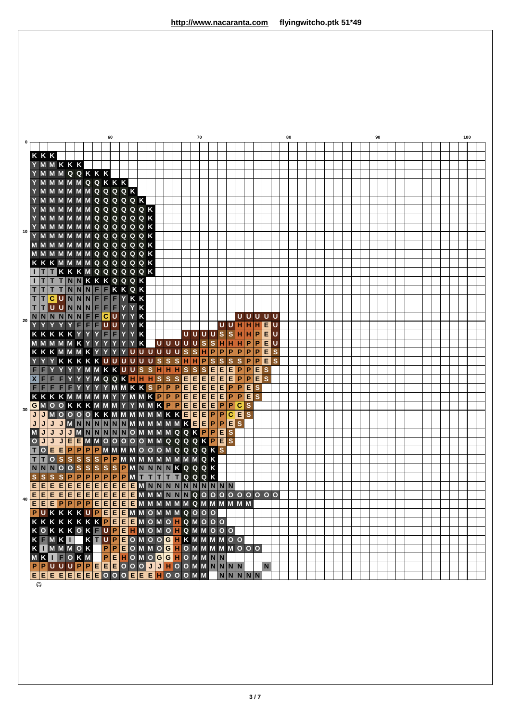|      |                |              |                         |                  |                         |              |                                                |         | 60             |   |                  |   |  |                         |                         |              | 70          |                         |                         |                                         |                         |                |                  |                           |                              |                         | 80 |  |  |  |  | 90 |  |  |  |  | 100 |  |
|------|----------------|--------------|-------------------------|------------------|-------------------------|--------------|------------------------------------------------|---------|----------------|---|------------------|---|--|-------------------------|-------------------------|--------------|-------------|-------------------------|-------------------------|-----------------------------------------|-------------------------|----------------|------------------|---------------------------|------------------------------|-------------------------|----|--|--|--|--|----|--|--|--|--|-----|--|
| 0    |                |              |                         |                  |                         |              |                                                |         |                |   |                  |   |  |                         |                         |              |             |                         |                         |                                         |                         |                |                  |                           |                              |                         |    |  |  |  |  |    |  |  |  |  |     |  |
|      | KKK            |              |                         |                  |                         |              |                                                |         |                |   |                  |   |  |                         |                         |              |             |                         |                         |                                         |                         |                |                  |                           |                              |                         |    |  |  |  |  |    |  |  |  |  |     |  |
|      |                |              |                         | YMMKKK           |                         |              |                                                |         |                |   |                  |   |  |                         |                         |              |             |                         |                         |                                         |                         |                |                  |                           |                              |                         |    |  |  |  |  |    |  |  |  |  |     |  |
|      |                |              |                         |                  |                         |              | Y M M M Q Q K K K                              |         |                |   |                  |   |  |                         |                         |              |             |                         |                         |                                         |                         |                |                  |                           |                              |                         |    |  |  |  |  |    |  |  |  |  |     |  |
|      |                |              |                         |                  |                         |              | YMMMMMQQKKK                                    |         |                |   |                  |   |  |                         |                         |              |             |                         |                         |                                         |                         |                |                  |                           |                              |                         |    |  |  |  |  |    |  |  |  |  |     |  |
|      |                |              |                         |                  |                         |              | Y M M M M M Q Q Q Q K                          |         |                |   |                  |   |  |                         |                         |              |             |                         |                         |                                         |                         |                |                  |                           |                              |                         |    |  |  |  |  |    |  |  |  |  |     |  |
|      |                |              |                         |                  |                         |              | Y M M M M M M Q Q Q Q Q K                      |         |                |   |                  |   |  |                         |                         |              |             |                         |                         |                                         |                         |                |                  |                           |                              |                         |    |  |  |  |  |    |  |  |  |  |     |  |
|      |                |              |                         |                  |                         |              | Y M M M M M M Q Q Q Q Q Q K                    |         |                |   |                  |   |  |                         |                         |              |             |                         |                         |                                         |                         |                |                  |                           |                              |                         |    |  |  |  |  |    |  |  |  |  |     |  |
|      |                |              |                         |                  |                         |              | Y M M M M M M Q Q Q Q Q Q K                    |         |                |   |                  |   |  |                         |                         |              |             |                         |                         |                                         |                         |                |                  |                           |                              |                         |    |  |  |  |  |    |  |  |  |  |     |  |
| $10$ |                |              |                         |                  |                         |              | Y M M M M M M Q Q Q Q Q Q K                    |         |                |   |                  |   |  |                         |                         |              |             |                         |                         |                                         |                         |                |                  |                           |                              |                         |    |  |  |  |  |    |  |  |  |  |     |  |
|      |                |              |                         |                  |                         |              | Y M M M M M M Q Q Q Q Q Q K                    |         |                |   |                  |   |  |                         |                         |              |             |                         |                         |                                         |                         |                |                  |                           |                              |                         |    |  |  |  |  |    |  |  |  |  |     |  |
|      |                |              |                         |                  |                         |              | <b>MMMMMMQQQQQQK</b>                           |         |                |   |                  |   |  |                         |                         |              |             |                         |                         |                                         |                         |                |                  |                           |                              |                         |    |  |  |  |  |    |  |  |  |  |     |  |
|      |                |              |                         |                  |                         |              | <b>MMMMMMMQQQQQQK</b>                          |         |                |   |                  |   |  |                         |                         |              |             |                         |                         |                                         |                         |                |                  |                           |                              |                         |    |  |  |  |  |    |  |  |  |  |     |  |
|      |                |              |                         |                  |                         |              | <b>KKKMMMMQQQQQQK</b>                          |         |                |   |                  |   |  |                         |                         |              |             |                         |                         |                                         |                         |                |                  |                           |                              |                         |    |  |  |  |  |    |  |  |  |  |     |  |
|      |                |              |                         |                  |                         |              | <b>TTKKKMQQQQQQK</b>                           |         |                |   |                  |   |  |                         |                         |              |             |                         |                         |                                         |                         |                |                  |                           |                              |                         |    |  |  |  |  |    |  |  |  |  |     |  |
|      |                |              |                         |                  |                         |              | <b>ITTTNNKKKQQQK</b>                           |         |                |   |                  |   |  |                         |                         |              |             |                         |                         |                                         |                         |                |                  |                           |                              |                         |    |  |  |  |  |    |  |  |  |  |     |  |
|      |                | п            |                         |                  |                         |              | TTTNNNFFKKQK<br>CUNNNFFFYKK                    |         |                |   |                  |   |  |                         |                         |              |             |                         |                         |                                         |                         |                |                  |                           |                              |                         |    |  |  |  |  |    |  |  |  |  |     |  |
|      |                |              |                         |                  |                         |              | UUNNNFFFY                                      |         |                |   | $Y$ $K$          |   |  |                         |                         |              |             |                         |                         |                                         |                         |                |                  |                           |                              |                         |    |  |  |  |  |    |  |  |  |  |     |  |
|      | $T$ $T$        |              |                         |                  |                         |              | NNNNNHFFCUY                                    |         |                |   | Y K              |   |  |                         |                         |              |             |                         |                         |                                         |                         |                |                  |                           | <b>UUUUU</b>                 |                         |    |  |  |  |  |    |  |  |  |  |     |  |
| 20   |                |              |                         | Y                | $\bullet$               |              | <b>FFFUUY</b>                                  |         |                |   | YK               |   |  |                         |                         |              |             |                         |                         |                                         |                         |                | <b>UUHHH</b>     |                           | E                            | U                       |    |  |  |  |  |    |  |  |  |  |     |  |
|      |                |              |                         |                  |                         |              | KKKKKYYYF                                      |         | F              | Y | YK               |   |  |                         |                         |              | <b>UUUU</b> |                         |                         | $\overline{\mathbf{s}}$                 | $\mathbf{s}$            |                | H H              |                           | P<br>$\mathsf E$             | U                       |    |  |  |  |  |    |  |  |  |  |     |  |
|      |                |              |                         | MMMMMKY          |                         |              |                                                | $Y$ $Y$ | $\mathbf Y$    |   |                  | K |  | 00000                   |                         |              |             | $\overline{\mathbf{s}}$ | $\overline{\mathbf{s}}$ | $\overline{H}$                          | H                       | н              |                  | P                         | E                            | ۱u                      |    |  |  |  |  |    |  |  |  |  |     |  |
|      |                |              |                         |                  |                         |              | <b>KKKMMMKYY</b>                               |         | Y              |   | YUUUU            |   |  | U                       | U                       | $\mathbf{s}$ | s           | H                       | P                       | P                                       | P                       | P              | P                |                           | $\mathsf E$<br>P             | S                       |    |  |  |  |  |    |  |  |  |  |     |  |
|      |                |              |                         |                  |                         |              | YYKKKKKUUUUUUS                                 |         |                |   |                  |   |  | $\overline{\mathbf{s}}$ | $\overline{\mathbf{s}}$ |              | H H         |                         | $P$ <sub>s</sub>        | $\overline{\mathbf{s}}$                 | $\vert s \vert$         | s              | P                |                           | E<br>∣P                      | $\overline{\mathbf{s}}$ |    |  |  |  |  |    |  |  |  |  |     |  |
|      |                |              |                         |                  |                         |              | YYYMMKKUUSSHHHSS                               |         |                |   |                  |   |  |                         |                         |              |             |                         | $S$ $\blacksquare$      | E                                       | E                       | P              | P                |                           | $\overline{E}$               | S                       |    |  |  |  |  |    |  |  |  |  |     |  |
|      | $ \mathbf{x} $ | F            | F F                     |                  |                         |              | YYYMQQKH <mark>HH</mark> SSS <mark>EEEE</mark> |         |                |   |                  |   |  |                         |                         |              |             |                         |                         | $\vert$ E $\vert$                       | İΕ                      | P              | $\overline{P}$   |                           | E<br>$\overline{\mathbf{s}}$ |                         |    |  |  |  |  |    |  |  |  |  |     |  |
|      |                |              |                         |                  |                         |              |                                                |         |                |   |                  |   |  |                         |                         |              |             |                         |                         |                                         | P                       | P              | E                |                           | $\overline{\mathbf{s}}$      |                         |    |  |  |  |  |    |  |  |  |  |     |  |
|      |                |              |                         |                  |                         |              | FFFFFYYYYMMKKSPPPEEEE<br>KKKKMMMMMYYMMKPPPEEEE |         |                |   |                  |   |  |                         |                         |              |             |                         |                         | $\frac{\boxed{\mathsf{E}}}{\mathsf{E}}$ | $\overline{P}$          | $\overline{P}$ |                  | $\overline{\mathbf{B}}$ s |                              |                         |    |  |  |  |  |    |  |  |  |  |     |  |
|      |                |              |                         |                  |                         |              | G M O O K K K M M M Y Y M M K P P E E E E      |         |                |   |                  |   |  |                         |                         |              |             |                         |                         | $\overline{P}$                          | $\overline{\mathsf{P}}$ | $\overline{c}$ | $\mathbf{s}$     |                           |                              |                         |    |  |  |  |  |    |  |  |  |  |     |  |
| 30   |                |              |                         |                  |                         |              | JJMOOOOKKMMMMMMKKEEEP                          |         |                |   |                  |   |  |                         |                         |              |             |                         |                         |                                         | P C                     |                | $\blacksquare$ s |                           |                              |                         |    |  |  |  |  |    |  |  |  |  |     |  |
|      | J/J            |              | J                       |                  |                         |              | JMNNNNNMMMMMKEEP                               |         |                |   |                  |   |  |                         |                         |              |             |                         |                         |                                         | $P$ E                   | $\mathbf{s}$   |                  |                           |                              |                         |    |  |  |  |  |    |  |  |  |  |     |  |
|      |                |              |                         | J                |                         |              | JMNNNNNOMMMMQQKPPES                            |         |                |   |                  |   |  |                         |                         |              |             |                         |                         |                                         |                         |                |                  |                           |                              |                         |    |  |  |  |  |    |  |  |  |  |     |  |
|      | $\circ$        | J            | J                       | J                |                         |              | <b>EEMMOOOOOMMQQQQKPES</b>                     |         |                |   |                  |   |  |                         |                         |              |             |                         |                         |                                         |                         |                |                  |                           |                              |                         |    |  |  |  |  |    |  |  |  |  |     |  |
|      |                | $\mathbf{o}$ | E                       | E                | P                       |              | PPPMMMMOOOMQQQQKS                              |         |                |   |                  |   |  |                         |                         |              |             |                         |                         |                                         |                         |                |                  |                           |                              |                         |    |  |  |  |  |    |  |  |  |  |     |  |
|      |                | т            | $\circ$                 | $\mathbf{s}$     | $\overline{\mathbf{s}}$ | $\mathbf{s}$ | SSPPMMMMMMMMMQK                                |         |                |   |                  |   |  |                         |                         |              |             |                         |                         |                                         |                         |                |                  |                           |                              |                         |    |  |  |  |  |    |  |  |  |  |     |  |
|      |                |              |                         |                  |                         |              | NNOOSSSSSPMNNNNKQQQK                           |         |                |   |                  |   |  |                         |                         |              |             |                         |                         |                                         |                         |                |                  |                           |                              |                         |    |  |  |  |  |    |  |  |  |  |     |  |
|      |                |              | $\overline{\mathbf{s}}$ | $S$ <sub>P</sub> |                         |              | PPPPPPMTTTTTQQQK                               |         |                |   |                  |   |  |                         |                         |              |             |                         |                         |                                         |                         |                |                  |                           |                              |                         |    |  |  |  |  |    |  |  |  |  |     |  |
|      | E E E          |              |                         |                  |                         |              |                                                |         |                |   |                  |   |  |                         |                         |              |             |                         |                         |                                         |                         |                |                  |                           |                              |                         |    |  |  |  |  |    |  |  |  |  |     |  |
|      | Е              |              |                         |                  |                         |              | EEEEEEEEEEE MMMMMMQ000000000                   |         |                |   |                  |   |  |                         |                         |              |             |                         |                         |                                         |                         |                |                  |                           |                              |                         |    |  |  |  |  |    |  |  |  |  |     |  |
| 40   | E E E          |              |                         | P P              |                         |              | PPEEEEEMMMMMMQMMMMM                            |         |                |   |                  |   |  |                         |                         |              |             |                         |                         |                                         |                         |                |                  |                           |                              |                         |    |  |  |  |  |    |  |  |  |  |     |  |
|      |                |              |                         |                  |                         |              | PUKKKKUPEEEMMOMMMQ000                          |         |                |   |                  |   |  |                         |                         |              |             |                         |                         |                                         |                         |                |                  |                           |                              |                         |    |  |  |  |  |    |  |  |  |  |     |  |
|      |                |              |                         |                  |                         |              | KKKKKKKPEEEMOMOHQMOOO                          |         |                |   |                  |   |  |                         |                         |              |             |                         |                         |                                         |                         |                |                  |                           |                              |                         |    |  |  |  |  |    |  |  |  |  |     |  |
|      |                |              |                         |                  |                         |              | KOKKKOKFUPEHMOMOHQMMOOO                        |         |                |   |                  |   |  |                         |                         |              |             |                         |                         |                                         |                         |                |                  |                           |                              |                         |    |  |  |  |  |    |  |  |  |  |     |  |
|      |                |              |                         | <b>FMKI</b>      |                         |              | KTUPEOMOOGHKMMMMOO                             |         |                |   |                  |   |  |                         |                         |              |             |                         |                         |                                         |                         |                |                  |                           |                              |                         |    |  |  |  |  |    |  |  |  |  |     |  |
|      |                |              |                         | KIMMMOK          |                         |              |                                                |         | $P$ $P$        |   | EOMMOGHOMMMMMOOO |   |  |                         |                         |              |             |                         |                         |                                         |                         |                |                  |                           |                              |                         |    |  |  |  |  |    |  |  |  |  |     |  |
|      |                |              |                         | MKIFOKM          |                         |              |                                                |         | PEHOMOGGHOMMNN |   |                  |   |  |                         |                         |              |             |                         |                         |                                         |                         |                |                  |                           |                              |                         |    |  |  |  |  |    |  |  |  |  |     |  |
|      |                |              |                         |                  |                         |              | PPUUUPPEEEOOOJJHOOMMNNNN                       |         |                |   |                  |   |  |                         |                         |              |             |                         |                         |                                         |                         |                |                  |                           |                              | N                       |    |  |  |  |  |    |  |  |  |  |     |  |
|      |                |              |                         |                  |                         |              | EEEEEEEEOOOEEEHOOOMM                           |         |                |   |                  |   |  |                         |                         |              |             |                         |                         |                                         |                         |                | $N$ $N$ $N$ $N$  |                           |                              |                         |    |  |  |  |  |    |  |  |  |  |     |  |
|      | $\circledcirc$ |              |                         |                  |                         |              |                                                |         |                |   |                  |   |  |                         |                         |              |             |                         |                         |                                         |                         |                |                  |                           |                              |                         |    |  |  |  |  |    |  |  |  |  |     |  |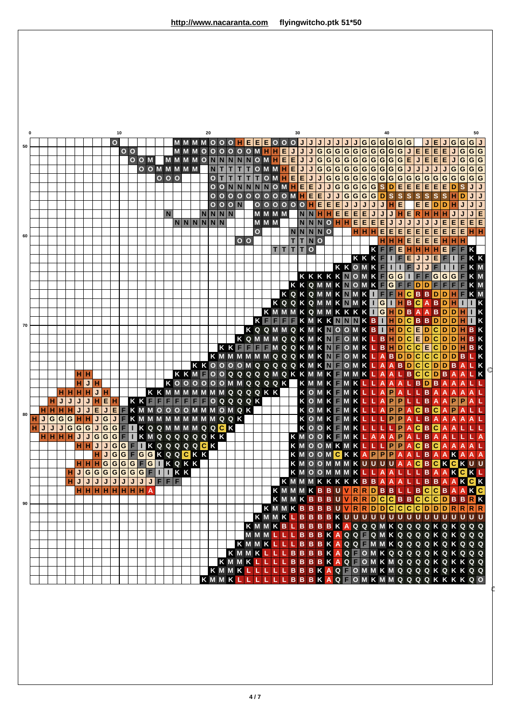| $\mathbf 0$ |   |    |        |       |              |                     |              |                |                |    |                |       |  |                               |  |         |    |                 |                               |                         |                   |                        |                         |     |       |    |             |   |                |                                                                                                 |     |                |                         |                               |                               |                 |                           |                         |                         |                         |                                             |                         |                         |   |              |             |
|-------------|---|----|--------|-------|--------------|---------------------|--------------|----------------|----------------|----|----------------|-------|--|-------------------------------|--|---------|----|-----------------|-------------------------------|-------------------------|-------------------|------------------------|-------------------------|-----|-------|----|-------------|---|----------------|-------------------------------------------------------------------------------------------------|-----|----------------|-------------------------|-------------------------------|-------------------------------|-----------------|---------------------------|-------------------------|-------------------------|-------------------------|---------------------------------------------|-------------------------|-------------------------|---|--------------|-------------|
|             |   |    |        |       |              |                     |              |                | $\overline{O}$ | 10 |                |       |  |                               |  |         | 20 |                 |                               | <b>MMMMOOO</b>          |                   | HEEE000                |                         |     |       | 30 |             | J |                |                                                                                                 |     |                |                         |                               | 40                            |                 | J G G G G G G             |                         |                         |                         |                                             |                         |                         |   | 50           |             |
| 50          |   |    |        |       |              |                     |              |                |                |    | 0 <sub>0</sub> |       |  |                               |  | MMMOOOO |    |                 |                               |                         |                   | O O M H H E            |                         |     |       |    |             | J | $\overline{G}$ | $\boxed{G \mid G \mid G \mid G \mid G \mid G \mid G \mid G}$                                    |     |                |                         |                               |                               |                 |                           | $\overline{\mathsf{L}}$ | E E                     |                         | IE.                                         | İΕ                      | G G G J                 |   | G G          |             |
|             |   |    |        |       |              |                     |              |                |                |    |                | O O M |  | <b>MMMM</b>                   |  |         |    | ONN             |                               | $\vert N \vert$         | $\vert N \vert N$ |                        | OMHEE                   |     |       |    | J           |   |                | $J G G G G G G G G G G E$                                                                       |     |                |                         |                               |                               |                 |                           |                         |                         |                         | JEEEJ                                       |                         |                         | G | G G          |             |
|             |   |    |        |       |              |                     |              |                |                |    |                |       |  | O O M M M M M                 |  |         |    | $\vert N \vert$ |                               | T                       | т                 | T                      | OMMHEJ                  |     |       |    |             |   |                | JGGGGGGGGGG                                                                                     |     |                |                         |                               |                               |                 |                           | J                       | J                       | J                       | $\overline{\mathsf{J}}$                     | $\overline{\mathsf{J}}$ | G                       | G | G G          |             |
|             |   |    |        |       |              |                     |              |                |                |    |                |       |  | 000                           |  |         |    | O T             |                               | $\mathsf{T}$            | $T$ $T$           |                        | $\overline{\mathsf{T}}$ | O M | $H$ E |    | EJJ         |   |                | G G G G G G G G G G G G G G G                                                                   |     |                |                         |                               |                               |                 |                           |                         |                         |                         |                                             |                         | G G                     |   | G G          |             |
|             |   |    |        |       |              |                     |              |                |                |    |                |       |  |                               |  |         |    |                 | $O$ $O$ $N$                   |                         |                   | NNNNOMH                |                         |     |       |    | $E$ $E$     |   |                | JGGGGGSD                                                                                        |     |                |                         |                               |                               |                 | E                         | $\overline{E}$          | E                       | E                       | E                                           | E                       | D                       |   |              |             |
|             |   |    |        |       |              |                     |              |                |                |    |                |       |  |                               |  |         |    |                 | $\overline{O}$ $\overline{O}$ | $\overline{\mathbf{o}}$ |                   |                        |                         |     |       |    | OOOOOOMHEE  |   |                | JJGGGGDS                                                                                        |     |                |                         |                               |                               |                 | $\overline{\mathbf{s}}$   | $\overline{\mathbf{s}}$ | $\overline{\mathbf{s}}$ | $\mathbf{s}$            | $\overline{\mathbf{s}}$                     | $\mathbf S$             | H                       | D | J            |             |
|             |   |    |        |       |              |                     |              |                |                |    |                |       |  |                               |  |         |    |                 |                               |                         | $O$ $O$ $O$ $N$   |                        |                         |     |       |    |             |   |                | OOOOOHEEEJ                                                                                      |     | $\overline{J}$ | $\overline{\mathsf{J}}$ |                               | $JJH$ E                       |                 |                           |                         | $\overline{\mathsf{E}}$ | E                       | $\overline{\mathsf{D}}$                     | $\overline{D}$          |                         |   |              |             |
|             |   |    |        |       |              |                     |              |                |                |    |                |       |  | $\mathbf N$                   |  |         |    |                 | $N$ $N$ $N$ $N$               |                         |                   |                        | <b>MMMM</b>             |     |       |    |             |   |                | NNHHEEEE                                                                                        |     |                |                         | JJ                            |                               |                 | JHERH                     |                         |                         |                         | HH                                          |                         | J                       | J | JE           |             |
|             |   |    |        |       |              |                     |              |                |                |    |                |       |  |                               |  | NNNNNN  |    |                 |                               |                         |                   |                        | M M M                   |     |       |    |             |   |                | NNNOHH                                                                                          |     |                | $E$ $E$ $E$ $E$         |                               | $\overline{\mathsf{J}}$       |                 | $\mathsf J$               | J                       | J                       | J                       | J                                           | E                       | E                       | E | E E          |             |
| 60          |   |    |        |       |              |                     |              |                |                |    |                |       |  |                               |  |         |    |                 |                               |                         |                   |                        | $\mathbf{o}$            |     |       |    | NNNNO       |   |                |                                                                                                 |     |                | H H H                   |                               | l E<br>lE.                    |                 | E                         | E                       | E.                      | ΙE                      | E                                           | E                       | Е                       | E | інін         |             |
|             |   |    |        |       |              |                     |              |                |                |    |                |       |  |                               |  |         |    |                 |                               |                         | 0 <sub>0</sub>    |                        |                         |     |       |    | <b>TTNO</b> |   |                |                                                                                                 |     |                |                         |                               | H H H                         |                 |                           |                         |                         |                         | $E$ $E$ $E$ $E$ $E$ $H$ $T$                 |                         | HIH                     |   |              |             |
|             |   |    |        |       |              |                     |              |                |                |    |                |       |  |                               |  |         |    |                 |                               |                         |                   |                        |                         |     |       |    | TTTTO       |   |                |                                                                                                 |     |                |                         | KE                            |                               | $F$ $E$         |                           |                         | $H$ $H$ $H$             |                         | HE                                          |                         | F                       | F | $\mathsf{K}$ |             |
|             |   |    |        |       |              |                     |              |                |                |    |                |       |  |                               |  |         |    |                 |                               |                         |                   |                        |                         |     |       |    |             |   |                |                                                                                                 |     |                | KKKF                    |                               |                               | $\mathbf{I}$    | F                         | E                       | $\mathsf{J}$            | J                       | E                                           | F                       |                         |   | K K          |             |
|             |   |    |        |       |              |                     |              |                |                |    |                |       |  |                               |  |         |    |                 |                               |                         |                   |                        |                         |     |       |    |             |   |                |                                                                                                 |     |                |                         |                               |                               |                 |                           |                         |                         |                         |                                             |                         |                         |   |              |             |
|             |   |    |        |       |              |                     |              |                |                |    |                |       |  |                               |  |         |    |                 |                               |                         |                   |                        |                         |     |       |    |             |   |                |                                                                                                 |     |                |                         |                               |                               |                 |                           |                         |                         |                         |                                             | $\overline{G}$          | G                       |   |              |             |
|             |   |    |        |       |              |                     |              |                |                |    |                |       |  |                               |  |         |    |                 |                               |                         |                   |                        |                         |     |       |    |             |   |                |                                                                                                 |     |                |                         |                               |                               |                 |                           | $\hat{\mathbf{\Phi}}$   |                         |                         | FF                                          |                         | F                       |   | K M          |             |
|             |   |    |        |       |              |                     |              |                |                |    |                |       |  |                               |  |         |    |                 |                               |                         |                   |                        |                         |     |       |    |             |   |                | KQKQMMKNMK <b>TFFHC</b>                                                                         |     |                |                         |                               |                               |                 |                           |                         | BBD                     | A                       |                                             | D                       | н                       |   | K M          |             |
|             |   |    |        |       |              |                     |              |                |                |    |                |       |  |                               |  |         |    |                 |                               |                         |                   |                        |                         |     |       |    |             |   |                | <b>KQQKQMMKNMK</b>                                                                              |     |                |                         |                               | $\vert \vert$ G $\vert \vert$ |                 | H                         | B C                     | $\overline{A}$          | $\overline{A}$          | $B$ <sub>D</sub><br>$\overline{\mathbf{B}}$ | D                       | $\mathbf{D}$            |   |              |             |
|             |   |    |        |       |              |                     |              |                |                |    |                |       |  |                               |  |         |    |                 |                               |                         |                   |                        | KE                      |     |       |    |             |   |                | K M M M K Q M M K K K K I G H D B<br>FFKMKKNNNKBIHD                                             |     |                |                         |                               |                               |                 |                           | $\overline{\mathsf{c}}$ |                         |                         | <b>BBDD</b>                                 |                         | D                       |   |              |             |
| 70          |   |    |        |       |              |                     |              |                |                |    |                |       |  |                               |  |         |    |                 |                               |                         |                   |                        |                         |     |       |    |             |   |                | K Q Q M M Q K M K N O O M K B T H D C                                                           |     |                |                         |                               |                               |                 |                           |                         | $E$ <sub>D</sub>        |                         | C D                                         |                         | D                       | н | в            | K           |
|             |   |    |        |       |              |                     |              |                |                |    |                |       |  |                               |  |         |    |                 |                               |                         |                   |                        |                         |     |       |    |             |   |                | KQMMMQQKMK <mark>NFOMKLBHDCED</mark>                                                            |     |                |                         |                               |                               |                 |                           |                         |                         |                         | $\overline{c}$                              | D                       | D                       |   | B.           |             |
|             |   |    |        |       |              |                     |              |                |                |    |                |       |  |                               |  |         |    |                 |                               |                         | KKFF              |                        | F F                     |     |       |    |             |   |                | MQQKMKNFOMKLBHDCCECDDH                                                                          |     |                |                         |                               |                               |                 |                           |                         |                         |                         |                                             |                         |                         |   | B K          |             |
|             |   |    |        |       |              |                     |              |                |                |    |                |       |  |                               |  |         |    |                 |                               |                         |                   |                        |                         |     |       |    |             |   |                | K M M M M M M Q Q Q K M K <mark>N F O M K L A</mark>                                            |     |                |                         |                               |                               |                 | BDDCC                     |                         |                         |                         | $\overline{\mathsf{c}}$                     | $\overline{D}$          | $\overline{D}$ B        |   |              | $\mathsf K$ |
|             |   |    |        |       |              |                     |              |                |                |    |                |       |  |                               |  |         |    |                 |                               |                         |                   |                        |                         |     |       |    |             |   |                | KKOOOOMQQQQQKMKNF                                                                               | OMK |                |                         | L A                           |                               |                 | ABDCC                     |                         |                         |                         |                                             |                         | DDBA                    |   |              |             |
|             |   |    |        |       |              | H H                 |              |                |                |    |                |       |  |                               |  |         |    |                 |                               |                         |                   |                        |                         |     |       |    |             |   |                | K K M F O O Q Q Q Q Q M Q K K M M K F M M K L A                                                 |     |                |                         |                               |                               |                 | ALBC                      |                         |                         | $\overline{\mathbf{c}}$ | $\overline{\mathsf{D}}$                     | B                       | $\overline{A}$          |   |              |             |
|             |   |    |        |       |              | HJ                  | н            |                |                |    |                |       |  |                               |  |         |    |                 |                               |                         |                   | KOOOOOOMMQQQQK         |                         |     |       |    |             |   |                |                                                                                                 |     |                |                         |                               |                               |                 |                           |                         |                         |                         |                                             |                         | $\overline{\mathsf{A}}$ |   |              |             |
|             |   |    |        | HIHIH |              |                     |              |                |                |    |                |       |  |                               |  |         |    |                 |                               |                         |                   | <b>KKMMMMMMMQQQQKK</b> |                         |     |       |    |             |   |                | K M M K F M K L L A A A L B <mark>D</mark> B A<br>K O M K F M K L L A P A L L B A A             |     |                |                         |                               |                               |                 |                           |                         |                         |                         |                                             |                         | $\overline{A}$          |   |              |             |
|             |   |    | н      | J     | J            | J                   |              | EH             |                |    |                |       |  | KKFFFFFF                      |  | F       | F  |                 |                               |                         |                   | $QQQQQK$               |                         |     |       |    |             |   |                | K O M K E M K <mark>L L A P P L L B A</mark><br>K O M K E M K L L A P P A <mark>C</mark> B C    |     |                |                         |                               |                               |                 |                           |                         |                         |                         |                                             | $\overline{A}$          | <b>IP</b>               |   |              |             |
| 80          |   |    |        |       | J            |                     | Е            | $\mathbf{J}$   | E              |    |                |       |  | <b>EKMMOOOOMMMOMQK</b>        |  |         |    |                 |                               |                         |                   |                        |                         |     |       |    |             |   |                |                                                                                                 |     |                |                         |                               |                               |                 |                           |                         |                         |                         |                                             | $\overline{A}$          | P                       |   |              |             |
|             |   | IJ | G G    |       | G   H   H    |                     | J            | G              |                |    |                |       |  | J F K M M M M M M M M M Q Q K |  |         |    |                 |                               |                         |                   |                        |                         |     |       |    |             |   |                | OMK MK                                                                                          |     |                | L/L/L                   |                               |                               |                 | PPAL                      |                         |                         | B                       | A                                           | A                       | A A                     |   |              |             |
|             | н | IJ | J<br>J |       | G G          | G                   | $\mathsf{J}$ |                |                |    |                |       |  | GGFTKQQMMMMQQCK               |  |         |    |                 |                               |                         |                   |                        |                         |     |       |    |             |   |                | KOOK MK                                                                                         |     |                |                         | $\overline{L}$ $\overline{L}$ |                               | $\blacklozenge$ | $\overline{\mathbf{P}}$ A |                         | $\overline{c}$          | B                       | $\overline{\mathsf{c}}$                     | $\overline{A}$          | A                       |   |              |             |
|             |   |    |        |       | $\mathsf{J}$ | J                   | $\mathbf G$  |                | G G F          |    |                |       |  | <b>TKMQQQQQQKK</b>            |  |         |    |                 |                               |                         |                   |                        |                         |     |       |    |             |   |                | KMOOKFMK                                                                                        |     |                |                         |                               | LAAAP                         |                 |                           |                         | ALB                     |                         | $\overline{A}$                              | $\overline{A}$          |                         |   |              |             |
|             |   |    |        |       |              | нін                 | J            |                |                |    |                |       |  | JGGFIKQQQQQCK                 |  |         |    |                 |                               |                         |                   |                        |                         |     |       |    |             |   |                | KMOOMKMKLLLPPAC                                                                                 |     |                |                         |                               |                               |                 |                           |                         |                         | <b>B</b> C              |                                             | $\overline{A}$          | $\overline{A}$          |   | A            |             |
|             |   |    |        |       |              |                     |              | $\mathsf{J}$   |                |    |                |       |  | GGFGGKQQCKK                   |  |         |    |                 |                               |                         |                   |                        |                         |     |       |    |             |   |                | K M O O M <mark>C K K A P P P A</mark>                                                          |     |                |                         |                               |                               |                 |                           |                         |                         |                         | ALBAA                                       |                         | K                       |   | $\mathsf{A}$ |             |
|             |   |    |        |       |              | $H$ $H$ $H$         |              | $\overline{G}$ |                |    |                |       |  | GGGFGTKQKK                    |  |         |    |                 |                               |                         |                   |                        |                         |     |       |    |             |   |                | K M O O M M M K U U U U A A <mark>C B C K C K</mark><br>K M O O M M M K L L A A L L L B A A K C |     |                |                         |                               |                               |                 |                           |                         |                         |                         |                                             |                         |                         |   |              |             |
|             |   |    |        |       |              |                     |              |                |                |    |                |       |  | HJGGGGGGGFIIKK                |  |         |    |                 |                               |                         |                   |                        |                         |     |       |    |             |   |                |                                                                                                 |     |                |                         |                               |                               |                 |                           |                         |                         |                         |                                             |                         |                         |   | KL           |             |
|             |   |    |        |       |              | $H H H H H H H H A$ |              |                |                |    |                |       |  | H J J J J J J J J J F F F     |  |         |    |                 |                               |                         |                   |                        |                         |     |       |    |             |   |                | KMMMKKKKKBBAAALLBB <mark>AAKC</mark> K<br>KMMMKBBUVRRDBBLLBCCBAAKC                              |     |                |                         |                               |                               |                 |                           |                         |                         |                         |                                             |                         |                         |   |              |             |
|             |   |    |        |       |              |                     |              |                |                |    |                |       |  |                               |  |         |    |                 |                               |                         |                   |                        |                         |     |       |    |             |   |                | KMMKBBBUVRRDCCBBCCCDBBRK                                                                        |     |                |                         |                               |                               |                 |                           |                         |                         |                         |                                             |                         |                         |   |              |             |
| 90          |   |    |        |       |              |                     |              |                |                |    |                |       |  |                               |  |         |    |                 |                               |                         |                   |                        |                         |     |       |    |             |   |                | KMMKBBBBUVRRDDCCCCDDDRRRR                                                                       |     |                |                         |                               |                               |                 |                           |                         |                         |                         |                                             |                         |                         |   |              |             |
|             |   |    |        |       |              |                     |              |                |                |    |                |       |  |                               |  |         |    |                 |                               |                         |                   |                        |                         |     |       |    |             |   |                | KMMKLBBBKUUUUUUUUUUUUUUUUU                                                                      |     |                |                         |                               |                               |                 |                           |                         |                         |                         |                                             |                         |                         |   |              |             |
|             |   |    |        |       |              |                     |              |                |                |    |                |       |  |                               |  |         |    |                 |                               |                         |                   |                        |                         |     |       |    |             |   |                | K M M K B L B B B B K A Q Q Q M K Q Q Q Q K Q K Q Q Q                                           |     |                |                         |                               |                               |                 |                           |                         |                         |                         |                                             |                         |                         |   |              |             |
|             |   |    |        |       |              |                     |              |                |                |    |                |       |  |                               |  |         |    |                 |                               |                         |                   |                        |                         |     |       |    |             |   |                | MMMLLLBBBKAQQFQMKQQQQKQKQQQ                                                                     |     |                |                         |                               |                               |                 |                           |                         |                         |                         |                                             |                         |                         |   |              |             |
|             |   |    |        |       |              |                     |              |                |                |    |                |       |  |                               |  |         |    |                 |                               |                         |                   |                        |                         |     |       |    |             |   |                | KMMKLLLBBBKAQQ MMKQQQQ KQKQQQ                                                                   |     |                |                         |                               |                               |                 |                           |                         |                         |                         |                                             |                         |                         |   |              |             |
|             |   |    |        |       |              |                     |              |                |                |    |                |       |  |                               |  |         |    |                 |                               |                         |                   |                        |                         |     |       |    |             |   |                | KMMKLLLBBBBKAQFOMKQQQQQKQKQQQ                                                                   |     |                |                         |                               |                               |                 |                           |                         |                         |                         |                                             |                         |                         |   |              |             |
|             |   |    |        |       |              |                     |              |                |                |    |                |       |  |                               |  |         |    |                 |                               |                         |                   |                        |                         |     |       |    |             |   |                | KMMKLLLLBBBKAQFOMKMQQQQKQKKQQ                                                                   |     |                |                         |                               |                               |                 |                           |                         |                         |                         |                                             |                         |                         |   |              |             |
|             |   |    |        |       |              |                     |              |                |                |    |                |       |  |                               |  |         |    |                 |                               |                         |                   |                        |                         |     |       |    |             |   |                | K M M K L L L L B B B K A Q F O M M K M Q Q Q Q K Q K K Q Q                                     |     |                |                         |                               |                               |                 |                           |                         |                         |                         |                                             |                         |                         |   |              |             |
|             |   |    |        |       |              |                     |              |                |                |    |                |       |  |                               |  |         |    |                 |                               |                         |                   |                        |                         |     |       |    |             |   |                | K M M K L L L L L L B B B K A Q F O M K M M Q Q Q Q K K K K Q O                                 |     |                |                         |                               |                               |                 |                           |                         |                         |                         |                                             |                         |                         |   |              |             |
|             |   |    |        |       |              |                     |              |                |                |    |                |       |  |                               |  |         |    |                 |                               |                         |                   |                        |                         |     |       |    |             |   |                |                                                                                                 |     |                |                         |                               |                               |                 |                           |                         |                         |                         |                                             |                         |                         |   |              |             |
|             |   |    |        |       |              |                     |              |                |                |    |                |       |  |                               |  |         |    |                 |                               |                         |                   |                        |                         |     |       |    |             |   |                |                                                                                                 |     |                |                         |                               |                               |                 |                           |                         |                         |                         |                                             |                         |                         |   |              |             |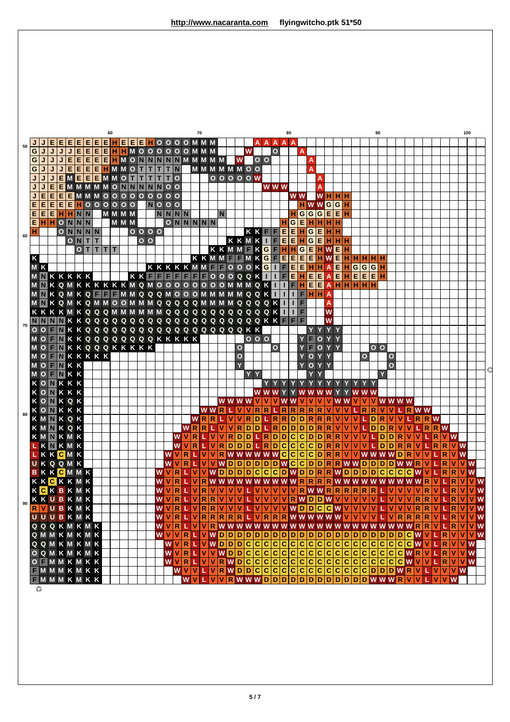|    |              |                |   |                                     |                |                        |             |   |     | 60      |     |                |              |                |                     |                     |                                           |              |              | 70           |             |             |              |                                     |   |         |                         |                         | 80                          |                    |     |                |                                                     |                                                                                |                |             |                                             |              | 90                      |                         |                       |    |                                                                    |                     |                |              |               | 100        |                           |   |
|----|--------------|----------------|---|-------------------------------------|----------------|------------------------|-------------|---|-----|---------|-----|----------------|--------------|----------------|---------------------|---------------------|-------------------------------------------|--------------|--------------|--------------|-------------|-------------|--------------|-------------------------------------|---|---------|-------------------------|-------------------------|-----------------------------|--------------------|-----|----------------|-----------------------------------------------------|--------------------------------------------------------------------------------|----------------|-------------|---------------------------------------------|--------------|-------------------------|-------------------------|-----------------------|----|--------------------------------------------------------------------|---------------------|----------------|--------------|---------------|------------|---------------------------|---|
| 50 |              |                |   |                                     |                |                        |             | Е | IE. |         | IE. | IE.            | E.           | н              |                     |                     | OOOOMMM                                   |              |              |              |             |             |              |                                     |   |         | A A                     | A                       | A                           |                    |     |                |                                                     |                                                                                |                |             |                                             |              |                         |                         |                       |    |                                                                    |                     |                |              |               |            |                           |   |
|    | G            | J              |   |                                     |                | Е                      | Е           | Е | IЕ. | H   H   |     | $\blacksquare$ | $\mathbf{o}$ |                | 0 <sub>0</sub>      | $\ddot{\mathbf{O}}$ | $\circ$                                   |              | O M M M      |              |             |             |              |                                     | W |         |                         | $\mathbf{o}$            |                             |                    | A   |                |                                                     |                                                                                |                |             |                                             |              |                         |                         |                       |    |                                                                    |                     |                |              |               |            |                           |   |
|    | $\mathsf{G}$ | J              | J | J                                   | Е              | E                      |             |   |     |         |     |                |              |                | EEEHMONNNNNMMMM     |                     |                                           |              |              |              |             |             |              | W                                   |   |         | $O$ $O$                 |                         |                             |                    |     | A              |                                                     |                                                                                |                |             |                                             |              |                         |                         |                       |    |                                                                    |                     |                |              |               |            |                           |   |
|    | $\mathbf{G}$ | J              | J | J                                   | $\overline{E}$ | EEEHMMO                |             |   |     |         |     |                | T            | <b>T</b>       | T T N               |                     |                                           |              |              |              |             |             |              | M M M M M O O                       |   |         |                         |                         |                             |                    |     | A              |                                                     |                                                                                |                |             |                                             |              |                         |                         |                       |    |                                                                    |                     |                |              |               |            |                           |   |
|    |              |                | J |                                     |                | EMEEEMMOT              |             |   |     |         |     |                | T            | T              |                     |                     | TTO                                       |              |              |              |             |             |              | $00000$                             |   |         |                         |                         |                             |                    |     |                | A                                                   |                                                                                |                |             |                                             |              |                         |                         |                       |    |                                                                    |                     |                |              |               |            |                           |   |
|    | J            | J              | E | E                                   |                |                        |             |   |     |         |     |                |              |                | <b>MMMMMONNNNN</b>  |                     | 0 <sub>o</sub>                            |              |              |              |             |             |              |                                     |   |         |                         | <b>WWW</b>              |                             |                    |     |                | A                                                   |                                                                                |                |             |                                             |              |                         |                         |                       |    |                                                                    |                     |                |              |               |            |                           |   |
|    | J            | Е              |   | EEEMMM000000000                     |                |                        |             |   |     |         |     |                |              |                |                     |                     |                                           |              |              |              |             |             |              |                                     |   |         |                         |                         |                             | W W                |     |                |                                                     | WHH                                                                            |                |             |                                             |              |                         |                         |                       |    |                                                                    |                     |                |              |               |            |                           |   |
|    | E.           | E              | E | E.                                  |                | $\blacksquare$ HOOOOOO |             |   |     |         |     |                |              |                | $N$ OOO             |                     |                                           |              |              |              |             |             |              |                                     |   |         |                         |                         |                             |                    |     |                |                                                     | HWWGGH                                                                         |                |             |                                             |              |                         |                         |                       |    |                                                                    |                     |                |              |               |            |                           |   |
|    |              |                |   | EEEHHNN                             |                |                        |             |   |     | M M M M |     |                |              |                |                     |                     | NNNN                                      |              |              |              |             | N           |              |                                     |   |         |                         |                         |                             |                    | l G | G G            |                                                     | $E$ $E$ $H$                                                                    |                |             |                                             |              |                         |                         |                       |    |                                                                    |                     |                |              |               |            |                           |   |
|    |              |                |   | $E$ H $H$ O N N N                   |                |                        |             |   |     |         |     | M M M          |              |                |                     |                     | ONNNNN                                    |              |              |              |             |             |              |                                     |   |         |                         |                         |                             | G                  | E   | H              |                                                     | ∣н∣н∣н                                                                         |                |             |                                             |              |                         |                         |                       |    |                                                                    |                     |                |              |               |            |                           |   |
| 60 | н            |                |   |                                     |                | $O$ N $N$ N $N$        |             |   |     |         |     |                |              |                | 0000                |                     |                                           |              |              |              |             |             |              |                                     |   | KK      | F.                      | F                       | Е                           | E   H              |     | G E            |                                                     | HIH                                                                            |                |             |                                             |              |                         |                         |                       |    |                                                                    |                     |                |              |               |            |                           |   |
|    |              |                |   |                                     |                | ONIT                   |             |   |     |         |     |                |              | 0 <sub>o</sub> |                     |                     |                                           |              |              |              |             |             |              | KKMK                                |   |         | $\mathbf{L}$            | F                       | E                           | EH                 |     |                |                                                     | G E H H H                                                                      |                |             |                                             |              |                         |                         |                       |    |                                                                    |                     |                |              |               |            |                           |   |
|    |              |                |   |                                     |                |                        | $0$ T T T T |   |     |         |     |                |              |                |                     |                     |                                           |              |              |              |             |             |              | KKMMFKGF                            |   |         |                         |                         | HHG                         |                    |     |                |                                                     | $\blacksquare$ H w $\blacksquare$ H<br>$E$ $E$ $H$ $W$ $E$ $H$ $H$ $H$ $H$ $H$ |                |             |                                             |              |                         |                         |                       |    |                                                                    |                     |                |              |               |            |                           |   |
|    | $\mathsf{K}$ |                |   |                                     |                |                        |             |   |     |         |     |                |              |                | KKKKMM FOOOKGI      |                     |                                           |              |              |              |             |             |              | K K M M F F M K G F                 |   |         |                         |                         | E.<br>$\mathsf F$           | E.                 |     |                | $E$ $H$ $H$ $A$                                     |                                                                                | ЕН             |             |                                             |              |                         |                         |                       |    |                                                                    |                     |                |              |               |            |                           |   |
|    |              | M <sub>K</sub> |   | MNKKKKK                             |                |                        |             |   |     |         |     |                |              |                | KKFFFFFFFFOOOQQKTII |                     |                                           |              |              |              |             |             |              |                                     |   |         |                         |                         | $\overline{F}$              |                    |     | EHE            |                                                     | $\overline{A}$                                                                 |                | EHEEH       | G G G H                                     |              |                         |                         |                       |    |                                                                    |                     |                |              |               |            |                           |   |
|    |              |                |   | <b>MNKQMKKKKKKMQMOOOOOOOOMMMQKI</b> |                |                        |             |   |     |         |     |                |              |                |                     |                     |                                           |              |              |              |             |             |              |                                     |   |         |                         |                         | $\mathbf{L}$                | FH                 |     | E E            |                                                     | $\overline{A}$                                                                 |                | HHHHH       |                                             |              |                         |                         |                       |    |                                                                    |                     |                |              |               |            |                           |   |
|    |              |                |   | <b>MNKQMKQFFFMMQQQMOOOMMMMMQQKT</b> |                |                        |             |   |     |         |     |                |              |                |                     |                     |                                           |              |              |              |             |             |              |                                     |   |         |                         |                         |                             | п                  |     |                | FHHA                                                |                                                                                |                |             |                                             |              |                         |                         |                       |    |                                                                    |                     |                |              |               |            |                           |   |
|    |              |                |   |                                     |                |                        |             |   |     |         |     |                |              |                |                     |                     |                                           |              |              |              |             |             |              |                                     |   |         |                         |                         |                             | <b>IF</b>          |     |                |                                                     | A                                                                              |                |             |                                             |              |                         |                         |                       |    |                                                                    |                     |                |              |               |            |                           |   |
|    |              |                |   |                                     |                |                        |             |   |     |         |     |                |              |                |                     |                     |                                           |              |              |              |             |             |              |                                     |   |         |                         |                         | Ш                           | <b>IF</b>          |     |                |                                                     | W                                                                              |                |             |                                             |              |                         |                         |                       |    |                                                                    |                     |                |              |               |            |                           |   |
|    |              |                |   | NNNNKKQQQQQQQQQQQQQQQQQQQQXK        |                |                        |             |   |     |         |     |                |              |                |                     |                     |                                           |              |              |              |             |             |              |                                     |   |         |                         |                         | F                           | F.                 | F   |                |                                                     | W                                                                              |                |             |                                             |              |                         |                         |                       |    |                                                                    |                     |                |              |               |            |                           |   |
| 70 |              |                |   | OOFNKKQQQQQQQQQQQQQQQQQQKK          |                |                        |             |   |     |         |     |                |              |                |                     |                     |                                           |              |              |              |             |             |              |                                     |   |         |                         |                         |                             |                    |     |                |                                                     | YY                                                                             |                |             |                                             |              |                         |                         |                       |    |                                                                    |                     |                |              |               |            |                           |   |
|    |              |                |   | MO <b>NKKQQQQQQQQKKKKK</b>          |                |                        |             |   |     |         |     |                |              |                |                     |                     |                                           |              |              |              |             |             |              |                                     |   | 000     |                         |                         |                             |                    |     | F              | $\overline{O}$                                      | Y<br>$\mathbf{Y}$                                                              |                |             |                                             |              |                         |                         |                       |    |                                                                    |                     |                |              |               |            |                           |   |
|    |              |                |   | O F N K K Q Q Q K K K K K K         |                |                        |             |   |     |         |     |                |              |                |                     |                     |                                           |              |              |              |             |             |              | $\mathbf{o}$                        |   |         |                         | $\overline{O}$          |                             |                    |     | F              |                                                     | O Y Y                                                                          |                |             |                                             |              | 0 <sub>0</sub>          |                         |                       |    |                                                                    |                     |                |              |               |            |                           |   |
|    |              |                |   | MOFNKKKKK                           |                |                        |             |   |     |         |     |                |              |                |                     |                     |                                           |              |              |              |             |             |              | $\overline{O}$                      |   |         |                         |                         |                             |                    | Y   | $\overline{O}$ | Y                                                   | $\mathbf Y$                                                                    |                |             | $\mathbf{o}$                                |              |                         | $\mathbf{o}$            |                       |    |                                                                    |                     |                |              |               |            |                           |   |
|    |              |                |   | MOFNKK                              |                |                        |             |   |     |         |     |                |              |                |                     |                     |                                           |              |              |              |             |             |              | Ÿ                                   |   |         |                         |                         |                             |                    |     | $\mathbf{o}$   | Y                                                   | Y                                                                              |                |             |                                             |              |                         | $\overline{o}$          |                       |    |                                                                    |                     |                |              |               |            |                           |   |
|    |              |                |   | MOFNKK                              |                |                        |             |   |     |         |     |                |              |                |                     |                     |                                           |              |              |              |             |             |              |                                     |   | YY      |                         |                         |                             |                    |     |                |                                                     |                                                                                |                |             |                                             |              | Y                       |                         |                       |    |                                                                    |                     |                |              |               |            |                           | € |
|    |              |                |   | KONKKK                              |                |                        |             |   |     |         |     |                |              |                |                     |                     |                                           |              |              |              |             |             |              |                                     |   |         |                         |                         |                             |                    |     |                |                                                     |                                                                                |                |             |                                             |              |                         |                         |                       |    |                                                                    |                     |                |              |               |            |                           |   |
|    |              |                |   | KONKKK                              |                |                        |             |   |     |         |     |                |              |                |                     |                     |                                           |              |              |              |             |             |              |                                     |   | w       |                         |                         |                             |                    |     |                |                                                     |                                                                                |                |             |                                             |              |                         |                         |                       |    |                                                                    |                     |                |              |               |            |                           |   |
|    |              |                |   | <b>KONKQK</b>                       |                |                        |             |   |     |         |     |                |              |                |                     |                     |                                           |              |              |              |             |             |              | WWW <sub>W</sub>                    |   |         |                         |                         |                             |                    |     |                |                                                     |                                                                                |                |             |                                             |              |                         |                         | <b>WWWW</b>           |    |                                                                    |                     |                |              |               |            |                           |   |
| 80 |              |                |   | KONKKK                              |                |                        |             |   |     |         |     |                |              |                |                     |                     |                                           |              |              |              |             | WWR         |              |                                     |   | R       | $\overline{\mathsf{R}}$ |                         | R                           | R R                |     | $\mathbb{R}$   | $\mathbb{R}$                                        |                                                                                |                |             | $\mathbb{R}$                                | $\mathbb{R}$ |                         | ١v                      |                       |    | L R W W                                                            |                     |                |              |               |            |                           |   |
|    |              |                |   | <b>KMNKQK</b>                       |                |                        |             |   |     |         |     |                |              |                |                     |                     |                                           |              | W            |              | R R         |             | ١v           |                                     | R | l D     |                         | L R                     | R                           | D/D                |     | R R            |                                                     | R<br>$\mathbf \Phi$                                                            |                |             |                                             | D            | R                       |                         |                       |    |                                                                    | RRW                 |                |              |               |            |                           |   |
|    |              |                |   | KMNKQK                              |                |                        |             |   |     |         |     |                |              |                |                     |                     |                                           |              | <b>WR</b>    | R            |             |             | ٧            |                                     |   | R D D   |                         | L R                     | D                           |                    |     | $D/D$ $R$      |                                                     | R<br>١V                                                                        | v              | v           | $\mathbf \Phi$                              | $\mathbf{D}$ | D R                     |                         | V                     | ١v |                                                                    |                     | $R$ R W        |              |               |            |                           |   |
|    |              |                |   | KMNKMK                              |                |                        |             |   |     |         |     |                |              |                |                     |                     | <b>WV</b>                                 |              | $\mathbb{R}$ |              | $\mathbf v$ | $\mathbf v$ | $\mathbb{R}$ |                                     |   | DDLRD   |                         |                         | D                           | $ {\tt c} {\tt c}$ |     |                |                                                     | D D R R                                                                        | $\mathbf v$    | $\mathbf v$ | $\bullet$                                   | L            |                         |                         | D/D/R                 |    | ١v                                                                 |                     | $\mathbb{R}$   | <b>VW</b>    |               |            |                           |   |
|    |              |                |   | LKNKMK                              |                |                        |             |   |     |         |     |                |              |                |                     |                     | W                                         |              | IR.          |              |             | V R         | D            |                                     |   | D D L   | RD                      |                         | $ {\tt c} {\tt c} {\tt c} $ |                    |     |                |                                                     | C D R R V V                                                                    |                |             | V                                           |              | D                       |                         | $D$ $R$ $R$           |    | ١v                                                                 |                     | $\mathbb{R}$   | IR.          | <b>VW</b>     |            |                           |   |
|    |              |                |   | LKKCMK                              |                |                        |             |   |     |         |     |                |              |                |                     |                     | <b>WV</b>                                 | $\mathbb{R}$ |              |              |             |             |              | VVRWWWWWG                           |   |         |                         |                         |                             |                    |     |                |                                                     | $ C C C D R R V V W W W D R$                                                   |                |             |                                             |              |                         |                         |                       |    | v   v                                                              |                     |                | $\mathbb{R}$ | <b>VW</b>     |            |                           |   |
|    |              |                |   | UKQQMK                              |                |                        |             |   |     |         |     |                |              |                |                     | W                   |                                           | RL           |              |              |             | VVWD        |              |                                     |   |         |                         |                         |                             |                    |     |                |                                                     | DDDDWCCDDRRWWDDDDWWRV                                                          |                |             |                                             |              |                         |                         |                       |    |                                                                    |                     |                | R            |               | <b>IVW</b> |                           |   |
|    |              |                |   | BKKCMMK                             |                |                        |             |   |     |         |     |                |              |                | <b>WV</b>           |                     | R                                         |              | LIV          |              |             | <b>VWDD</b> |              |                                     |   | D/D C C |                         | $\overline{\mathsf{c}}$ |                             |                    |     |                |                                                     | DWDDRRWDDDD                                                                    |                |             |                                             |              | $\overline{\mathsf{c}}$ | $\overline{\mathsf{c}}$ | $\overline{c}$        |    | $ C $ W $ V $                                                      |                     |                | R R          |               | <b>VW</b>  |                           |   |
|    |              |                |   | KKCKKMK                             |                |                        |             |   |     |         |     |                |              |                |                     | $\mathbf{V}$        | $\mathbb{R}$                              |              | LIV          |              |             |             |              |                                     |   |         |                         |                         |                             |                    |     |                |                                                     | RWWWWWWWWWWRRRRWWWWWWWWW                                                       |                |             |                                             |              |                         |                         |                       |    |                                                                    |                     |                | $\mathbf{L}$ | $R$ $V$       |            | IV W                      |   |
|    |              |                |   | KCKBKMK                             |                |                        |             |   |     |         |     |                |              |                | W                   |                     | $\mathbb{R}$                              |              |              |              |             |             |              |                                     |   |         |                         |                         |                             |                    |     |                |                                                     | LVRVVVVLVVVVVVRWWRRRRRRLVVVVRV                                                 |                |             |                                             |              |                         |                         |                       |    |                                                                    |                     |                |              | R.            |            | <b>v</b> v w              |   |
| 90 |              |                |   | KKUBKMK                             |                |                        |             |   |     |         |     |                |              |                | <b>WV</b>           | <b>WV</b>           |                                           |              | <b>LIV</b>   |              |             |             |              | $R$ $ V R R V V V$                  |   |         |                         |                         |                             |                    |     |                |                                                     | $ L V V V V R W D D W V V V V V L$<br> v v v w d d c c w v v v v               |                |             |                                             |              |                         |                         | V V V<br>$\mathbf{V}$ | Ŋ  |                                                                    | $R$ $R$ $V$         |                |              |               |            | <b>LRVVW</b><br><b>VW</b> |   |
|    |              | R V            |   | UBKMK<br>UUUBKMK                    |                |                        |             |   |     |         |     |                |              |                |                     | <b>WV</b>           | $\mathbb{R}$<br>$R$ $\blacksquare$ $\vee$ |              |              |              |             |             |              | R R V V V<br>$R$ $R$ $R$ $R$ $R$    |   | LIV     |                         |                         |                             |                    |     |                |                                                     | VRRRWWWWWWVVV                                                                  |                |             |                                             |              |                         | IV.                     | $R$ <sub>R</sub>      |    | $\mathbb{R}$<br>${\sf R}$                                          | $\mathbb{R}$<br>l R | V              |              | R V <br>$R$ V |            | <b>VW</b>                 |   |
|    |              |                |   | QQQKMKMK                            |                |                        |             |   |     |         |     |                |              |                |                     |                     | WVR                                       |              | <b>LVI</b>   |              |             |             |              |                                     |   |         |                         |                         |                             |                    |     |                |                                                     | VRWWWWWWWWWWWWWWWWWWWWWWWWW                                                    |                |             |                                             |              |                         |                         |                       |    |                                                                    |                     | V              | Ŋ            | $\mathbb{R}$  |            | <b>VW</b>                 |   |
|    |              |                |   | QMMKMKMK                            |                |                        |             |   |     |         |     |                |              |                | <b>WV</b>           |                     |                                           |              |              |              |             | VRLVWDD     |              |                                     |   | D/D/D   |                         | D/D                     |                             |                    |     |                |                                                     | $D D D D D D D D D D D D D D C W V$                                            |                |             |                                             |              |                         |                         |                       |    |                                                                    |                     |                | R.           | $\mathbf v$   |            | <b>VW</b>                 |   |
|    |              |                |   | QQMKMKMK                            |                |                        |             |   |     |         |     |                |              |                |                     |                     | <b>WV</b>                                 | R.           |              |              |             |             |              | $V$ $V$ $D$ $D$ $D$ $C$ $C$ $C$ $C$ |   |         |                         |                         |                             |                    |     |                |                                                     | c c c c c c c c                                                                |                |             |                                             |              |                         |                         |                       |    | $ {\tt C} {\tt C} {\tt C} {\tt C} {\tt C} {\tt C} {\tt W} {\tt V}$ |                     |                | $\mathbb{R}$ | $\mathbf v$   |            | W                         |   |
|    |              |                |   | <b>OQMKMKMK</b>                     |                |                        |             |   |     |         |     |                |              |                |                     | W                   | V.                                        | $\mathbb{R}$ | $\mathbf{L}$ |              |             |             |              | VVWDDCCCC                           |   |         |                         |                         |                             |                    |     |                |                                                     | $C C C C C C C C C C C C C C C C W R V$                                        |                |             |                                             |              |                         |                         |                       |    |                                                                    |                     | $\mathbf \Phi$ | R.           | $\mathbf v$   | ١v         | W                         |   |
|    |              |                |   | <b>OFMMKMKK</b>                     |                |                        |             |   |     |         |     |                |              |                |                     | W                   | ٧                                         | $\mathbb{R}$ |              | $\mathbf{v}$ |             |             |              | $V$ RWDCCCC                         |   |         |                         |                         |                             |                    |     |                | $ {\tt c} {\tt c} {\tt c} {\tt c} {\tt c} {\tt c} $ | $ \mathbf{c} $                                                                 | $ \mathbf{c} $ |             | $ {\tt c} {\tt c} {\tt c} {\tt c} {\tt c} $ |              |                         |                         |                       |    | C W V V                                                            |                     | LR             |              | $\mathbf{V}$  | <b>VW</b>  |                           |   |
|    |              |                |   | <b>NMMKMKK</b>                      |                |                        |             |   |     |         |     |                |              |                |                     |                     |                                           | WVV          |              |              |             |             |              |                                     |   |         |                         |                         |                             |                    |     |                |                                                     | LVRWDDCCCCCCCCCCCCCCCDDDWR                                                     |                |             |                                             |              |                         |                         |                       |    | V                                                                  |                     | ١v             |              | <b>VVW</b>    |            |                           |   |
|    |              |                |   | <b>EMMMKMKK</b>                     |                |                        |             |   |     |         |     |                |              |                |                     |                     |                                           |              | <b>WV</b>    |              |             | V V         |              |                                     |   |         |                         |                         |                             |                    |     |                |                                                     | $R$ W W W D D D D D D D D D D D D D D D W W K Y                                |                |             |                                             |              |                         |                         |                       |    | V                                                                  |                     | ١v             | <b>VW</b>    |               |            |                           |   |
|    |              | $\circledcirc$ |   |                                     |                |                        |             |   |     |         |     |                |              |                |                     |                     |                                           |              |              |              |             |             |              |                                     |   |         |                         |                         |                             |                    |     |                |                                                     |                                                                                |                |             |                                             |              |                         |                         |                       |    |                                                                    |                     |                |              |               |            |                           |   |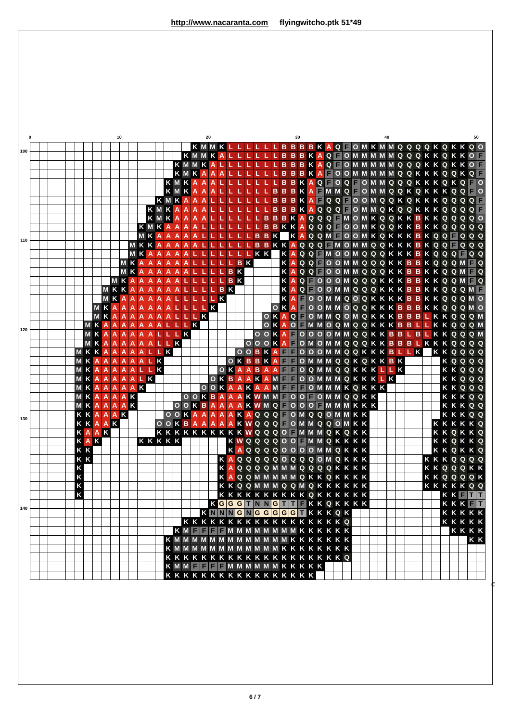| $\mathbf{0}$ |  |  |                |                |           |              | 10                        |                         |                |                |     |           |            |       |                |                         |                | 20                        |                           |                 |           |                |                                            |                               |                 |     | 30             |  |  |                                                                                                                          |  |  | 40 |  |  |                |                              |  | 50  |
|--------------|--|--|----------------|----------------|-----------|--------------|---------------------------|-------------------------|----------------|----------------|-----|-----------|------------|-------|----------------|-------------------------|----------------|---------------------------|---------------------------|-----------------|-----------|----------------|--------------------------------------------|-------------------------------|-----------------|-----|----------------|--|--|--------------------------------------------------------------------------------------------------------------------------|--|--|----|--|--|----------------|------------------------------|--|-----|
| 100          |  |  |                |                |           |              |                           |                         |                |                |     |           |            |       |                |                         |                |                           |                           | KMMKALL         |           |                |                                            |                               |                 |     |                |  |  | K M M K L L L L L L B B B K A Q F O M K M M Q Q Q Q K Q K K Q O<br>L L L L B B B K A Q F O M M M M M Q Q Q K K Q K K O F |  |  |    |  |  |                |                              |  |     |
|              |  |  |                |                |           |              |                           |                         |                |                |     |           |            |       |                |                         | KMMKA          |                           |                           |                 |           |                |                                            |                               |                 |     |                |  |  | <b>BBBKAQFOMMMMMQQQKKQKKOF</b>                                                                                           |  |  |    |  |  |                |                              |  |     |
|              |  |  |                |                |           |              |                           |                         |                |                |     |           |            |       |                |                         | KMKA           | A                         | $\boldsymbol{\mathsf{A}}$ |                 |           |                |                                            |                               |                 |     |                |  |  | <b>BBBKAFOOMMMMMQQKKKQQKQF</b>                                                                                           |  |  |    |  |  |                |                              |  |     |
|              |  |  |                |                |           |              |                           |                         |                |                |     |           |            |       |                |                         | KMKAAA         |                           |                           |                 |           |                |                                            |                               |                 |     |                |  |  | B B K A Q F O Q F O M M Q Q Q K K K Q K Q F O                                                                            |  |  |    |  |  |                |                              |  |     |
|              |  |  |                |                |           |              |                           |                         |                |                |     |           |            | K M K |                |                         | $A \mid A$     | $\boldsymbol{\mathsf{A}}$ |                           |                 |           |                |                                            |                               | B.              |     |                |  |  | <b>BBKA MMQ OMMQQKQKKKQQT</b>                                                                                            |  |  |    |  |  |                |                              |  |     |
|              |  |  |                |                |           |              |                           |                         |                |                |     | KMKA      |            |       |                |                         | $A$ $A$        |                           |                           | $L$ $L$ $L$ $L$ |           |                |                                            |                               | $\, {\bf B} \,$ |     |                |  |  | <b>BBKAFQQFOOMQQKQKKKQQQQF</b>                                                                                           |  |  |    |  |  |                |                              |  |     |
|              |  |  |                |                |           |              |                           |                         |                |                |     | KMKAA     |            |       |                |                         | $A$ $A$        |                           |                           |                 |           |                |                                            |                               | B               | B   |                |  |  | BKAQQQ FOMMQKQQKKKQQQQ                                                                                                   |  |  |    |  |  |                |                              |  |     |
|              |  |  |                |                |           |              |                           |                         |                |                | K M |           | K          | A A   |                |                         | $A$ $A$        |                           |                           |                 |           |                |                                            | в                             |                 |     |                |  |  | <b>BBKAQQQ MOMKQQKKBKKQQQQO</b>                                                                                          |  |  |    |  |  |                |                              |  |     |
|              |  |  |                |                |           |              |                           |                         |                | KMK            |     |           |            | A A A |                | $\overline{A}$          |                |                           |                           |                 |           |                |                                            | в                             |                 |     |                |  |  | BKKAQQQ FOOMKQQKKBKKQQQQQ                                                                                                |  |  |    |  |  |                |                              |  |     |
| 110          |  |  |                |                |           |              |                           |                         |                |                |     | MKAAAAAL  |            |       |                |                         |                |                           |                           |                 |           |                |                                            | $B$ $B$                       | $\mathsf{K}$    |     |                |  |  | KAQQMFOOMKQKKKBKQQFQQQ                                                                                                   |  |  |    |  |  |                |                              |  |     |
|              |  |  |                |                |           |              |                           |                         |                |                |     | MKKA      |            | AAA   |                | $\overline{\mathsf{A}}$ |                |                           |                           |                 |           |                |                                            |                               |                 |     |                |  |  | BBKKAQQQ MOMMQQKKKBKQQ QQQ                                                                                               |  |  |    |  |  |                |                              |  |     |
|              |  |  |                |                |           |              |                           |                         |                |                |     | MKAA      | A A A      |       |                |                         |                |                           |                           |                 | L L       | T<br><b>BK</b> | KK                                         |                               |                 |     |                |  |  | KAQQ MOOMQQQKKKBKQQQ QQ                                                                                                  |  |  |    |  |  |                |                              |  |     |
|              |  |  |                |                |           |              |                           |                         | M <sub>K</sub> | MKAAA<br>A     |     | $A$ $A$   | A A<br>AAA |       | $\overline{A}$ |                         |                |                           |                           |                 | <b>BK</b> |                |                                            |                               |                 | KA  | $\overline{A}$ |  |  | QQ OOMMQQQKKBBKQQQM Q                                                                                                    |  |  |    |  |  |                |                              |  |     |
|              |  |  |                |                |           |              |                           |                         | MKAA           |                |     | $A$ $A$   | A A        |       |                |                         |                |                           |                           | LBK             |           |                |                                            |                               |                 | Κ   | $\overline{A}$ |  |  | QQ OOMMQQQKKBBKKQQM Q<br>Q OOOMQQQKKKBBKKQQM Q                                                                           |  |  |    |  |  |                |                              |  |     |
|              |  |  |                |                |           | MKKA         |                           |                         |                | $\overline{A}$ |     | AAAAL     |            |       |                |                         |                |                           |                           | L B K           |           |                |                                            |                               |                 |     | $\overline{A}$ |  |  | Q FOOMMQQQKKKBBKKQQQMF                                                                                                   |  |  |    |  |  |                |                              |  |     |
|              |  |  |                |                |           | M            | K                         | A                       | A A            |                |     | AAALLLLK  |            |       |                |                         |                |                           |                           |                 |           |                |                                            |                               |                 |     | $\overline{A}$ |  |  | <b>FOOMMQOQKKKKBBKKQQQMO</b>                                                                                             |  |  |    |  |  |                |                              |  |     |
|              |  |  |                |                | <b>MK</b> |              |                           | A                       |                |                |     | AAAA      |            |       |                | ALLLL                   |                | $\overline{\mathbf{K}}$   |                           |                 |           |                |                                            |                               | $\mathbf{o}$    |     |                |  |  | KA OOMMOQQKKKBBBKKQQQMO                                                                                                  |  |  |    |  |  |                |                              |  |     |
|              |  |  |                |                | <b>MK</b> |              | $\overline{\mathsf{A}}$   | A                       |                |                |     | AAAAALLLK |            |       |                |                         |                |                           |                           |                 |           |                |                                            |                               |                 |     |                |  |  | O K A Q F O M M Q O M Q K K K B B B L K K Q Q Q M                                                                        |  |  |    |  |  |                |                              |  |     |
|              |  |  |                | <b>MKA</b>     |           |              | $\boldsymbol{\mathsf{A}}$ |                         |                |                |     | AAAAALLLK |            |       |                |                         |                |                           |                           |                 |           |                |                                            | $\overline{O}$                |                 |     |                |  |  | K A O F M M O Q M Q Q K K K B B L L K K Q Q Q M                                                                          |  |  |    |  |  |                |                              |  |     |
| 120          |  |  |                | M <sub>K</sub> |           |              | A                         |                         |                |                |     | AAAALLLK  |            |       |                |                         |                |                           |                           |                 |           |                |                                            | $\overline{O}$ $\overline{Q}$ |                 |     |                |  |  | KA OOOOMMQQKKBBLBLKKQQQM                                                                                                 |  |  |    |  |  |                |                              |  |     |
|              |  |  |                | M <sub>K</sub> |           | A            | $\overline{A}$            |                         |                |                |     | AAAALLK   |            |       |                |                         |                |                           |                           |                 |           |                | $\overline{O}$ $\overline{O}$              | $\overline{O}$                |                 | KAF |                |  |  | O M O M M Q Q Q K K B B B L K K K Q Q Q Q                                                                                |  |  |    |  |  |                |                              |  |     |
|              |  |  |                | <b>MKK</b>     |           | A A          |                           |                         |                |                |     | AAALLK    |            |       |                |                         |                |                           |                           |                 |           |                |                                            |                               |                 |     |                |  |  | OOBKA FOOOMMQQKKKBLLK                                                                                                    |  |  |    |  |  | KKQQQQ         |                              |  |     |
|              |  |  | M              | K A            |           | A            | $\overline{A}$            | A                       | $\overline{A}$ |                |     | ALK       |            |       |                |                         |                |                           |                           |                 |           |                | OKBBK                                      |                               |                 |     |                |  |  | A <b>FOMMMQQKQKKBK</b>                                                                                                   |  |  |    |  |  |                | KQQQQ                        |  |     |
|              |  |  | M              | K              | A         | ♦            | $\overline{\mathsf{A}}$   | A                       |                | ALLK           |     |           |            |       |                |                         |                |                           |                           |                 |           |                |                                            |                               |                 |     |                |  |  | OKAABAA FOQMMQQKKKLLK                                                                                                    |  |  |    |  |  |                | KKQQQ                        |  |     |
|              |  |  | M              | K              | Ä         | Â            | $\overline{A}$            | $\overline{\mathsf{A}}$ |                | ALK            |     |           |            |       |                |                         |                |                           |                           | OKBAA           |           |                |                                            |                               |                 |     |                |  |  | KAM COOMMMQKKKLK                                                                                                         |  |  |    |  |  |                | <b>KKQQQ</b>                 |  |     |
|              |  |  | MK <sup></sup> |                | Ä         |              |                           |                         |                | AAAAK          |     |           |            |       |                |                         | $\overline{O}$ |                           |                           |                 |           |                |                                            |                               |                 |     |                |  |  | OKAAKAAM FOMMMKQKKK<br>O O K B A A A K W M M O O O O M M Q Q K K                                                         |  |  |    |  |  |                | KKQQQ                        |  |     |
|              |  |  | M<br>$M$ K     | K              | A<br>Ā    | AAAK<br>AAAK |                           |                         |                |                |     |           |            |       |                |                         |                |                           |                           |                 |           |                |                                            |                               |                 |     |                |  |  | OOK BAAAAKWMQ FOOOFMMMKKK                                                                                                |  |  |    |  |  |                | <b>KKKQQ</b><br><b>KKKQQ</b> |  |     |
|              |  |  |                | <b>KKA</b>     |           | AAK          |                           |                         |                |                |     |           |            |       |                |                         |                |                           |                           |                 |           |                |                                            |                               |                 |     |                |  |  | OOKAAAAKAQQQ OMQQOMMKK                                                                                                   |  |  |    |  |  |                | <b>KKKQQ</b>                 |  |     |
| 130          |  |  |                | KKAAK          |           |              |                           |                         |                |                |     |           |            |       |                |                         |                |                           |                           |                 |           |                |                                            |                               |                 |     |                |  |  | OOKBAAAAKWQQQFOMMQQOMKK                                                                                                  |  |  |    |  |  | KKKKKQ         |                              |  |     |
|              |  |  |                | KAAK           |           |              |                           |                         |                |                |     |           |            |       |                |                         |                |                           |                           |                 |           |                |                                            |                               |                 |     |                |  |  | KKKKKKKKKKWQQQO F MMMQKQKK                                                                                               |  |  |    |  |  | <b>KKQKKQ</b>  |                              |  |     |
|              |  |  | $\mathsf{K}$   | A K            |           |              |                           |                         |                |                |     | KKKKK     |            |       |                |                         |                |                           |                           |                 |           |                |                                            |                               |                 |     |                |  |  | K W Q Q Q Q O O F M M Q K K K K K                                                                                        |  |  |    |  |  | <b>KKQKKQ</b>  |                              |  |     |
|              |  |  | K K            |                |           |              |                           |                         |                |                |     |           |            |       |                |                         |                |                           |                           |                 |           |                |                                            |                               |                 |     |                |  |  | <b>KAQQQQOOOOMMQKKK</b>                                                                                                  |  |  |    |  |  | <b>KKQKKQ</b>  |                              |  |     |
|              |  |  | K K            |                |           |              |                           |                         |                |                |     |           |            |       |                |                         |                |                           |                           |                 |           |                |                                            |                               |                 |     |                |  |  | <b>KAQQQQQOQQQOMQKKK</b>                                                                                                 |  |  |    |  |  | KKKQQQQ        |                              |  |     |
|              |  |  |                |                |           |              |                           |                         |                |                |     |           |            |       |                |                         |                |                           |                           |                 |           |                |                                            |                               |                 |     |                |  |  | K A Q Q Q Q M M M Q Q Q Q K K K K                                                                                        |  |  |    |  |  | <b>KKQQQKK</b> |                              |  |     |
|              |  |  | K<br>K<br>K    |                |           |              |                           |                         |                |                |     |           |            |       |                |                         |                |                           |                           | A               |           |                |                                            |                               |                 |     |                |  |  | QQMMMMMQKKQKKKK                                                                                                          |  |  |    |  |  | <b>KKQQQQK</b> |                              |  |     |
|              |  |  |                |                |           |              |                           |                         |                |                |     |           |            |       |                |                         |                |                           |                           |                 |           |                |                                            |                               |                 |     |                |  |  | <b>KKQQMMMQQMQKKKKKK</b>                                                                                                 |  |  |    |  |  | <b>KKKKKQQ</b> |                              |  |     |
|              |  |  | K              |                |           |              |                           |                         |                |                |     |           |            |       |                |                         |                |                           |                           |                 |           |                |                                            |                               |                 |     |                |  |  | <b>KKKKKKKKKKQKKKKKK</b>                                                                                                 |  |  |    |  |  |                | KKFTT                        |  |     |
| 140          |  |  |                |                |           |              |                           |                         |                |                |     |           |            |       |                |                         |                |                           |                           |                 |           |                |                                            |                               |                 |     |                |  |  | KGGGTNNGTTFKKQKKKK                                                                                                       |  |  |    |  |  |                | KKKFT                        |  |     |
|              |  |  |                |                |           |              |                           |                         |                |                |     |           |            |       |                |                         |                |                           |                           |                 |           |                |                                            |                               |                 |     |                |  |  | KNNNGNGGGGGTKKKQK                                                                                                        |  |  |    |  |  |                | KKKKK                        |  |     |
|              |  |  |                |                |           |              |                           |                         |                |                |     |           |            |       |                |                         |                |                           |                           |                 |           |                |                                            |                               |                 |     |                |  |  | <b>KKKKKKKKKKKKKKKKK</b><br>KM <b>THE MMMMMMMMKKKKKK</b>                                                                 |  |  |    |  |  |                | <b>KKKKK</b><br>KKKK         |  |     |
|              |  |  |                |                |           |              |                           |                         |                |                |     |           |            |       |                |                         |                |                           |                           |                 |           |                |                                            |                               |                 |     |                |  |  | <b>KMMMMMMMMMMMMKKKKKKK</b>                                                                                              |  |  |    |  |  |                |                              |  | K K |
|              |  |  |                |                |           |              |                           |                         |                |                |     |           |            |       |                |                         |                |                           |                           |                 |           |                |                                            |                               |                 |     |                |  |  | <b>KMMMMMMMMMMMMKKKKKKKK</b>                                                                                             |  |  |    |  |  |                |                              |  |     |
|              |  |  |                |                |           |              |                           |                         |                |                |     |           |            |       |                |                         |                |                           |                           |                 |           |                |                                            |                               |                 |     |                |  |  | <b>KKKKKKKKKKKKKKKKKKKQ</b>                                                                                              |  |  |    |  |  |                |                              |  |     |
|              |  |  |                |                |           |              |                           |                         |                |                |     |           |            |       |                |                         |                |                           |                           |                 |           |                | K M M <b>E E E E M M M M M M K K K K K</b> |                               |                 |     |                |  |  |                                                                                                                          |  |  |    |  |  |                |                              |  |     |
|              |  |  |                |                |           |              |                           |                         |                |                |     |           |            |       |                |                         |                |                           |                           |                 |           |                | <b>KKKKKKKKKKKKKKKKK</b>                   |                               |                 |     |                |  |  |                                                                                                                          |  |  |    |  |  |                |                              |  |     |
|              |  |  |                |                |           |              |                           |                         |                |                |     |           |            |       |                |                         |                |                           |                           |                 |           |                |                                            |                               |                 |     |                |  |  |                                                                                                                          |  |  |    |  |  |                |                              |  |     |